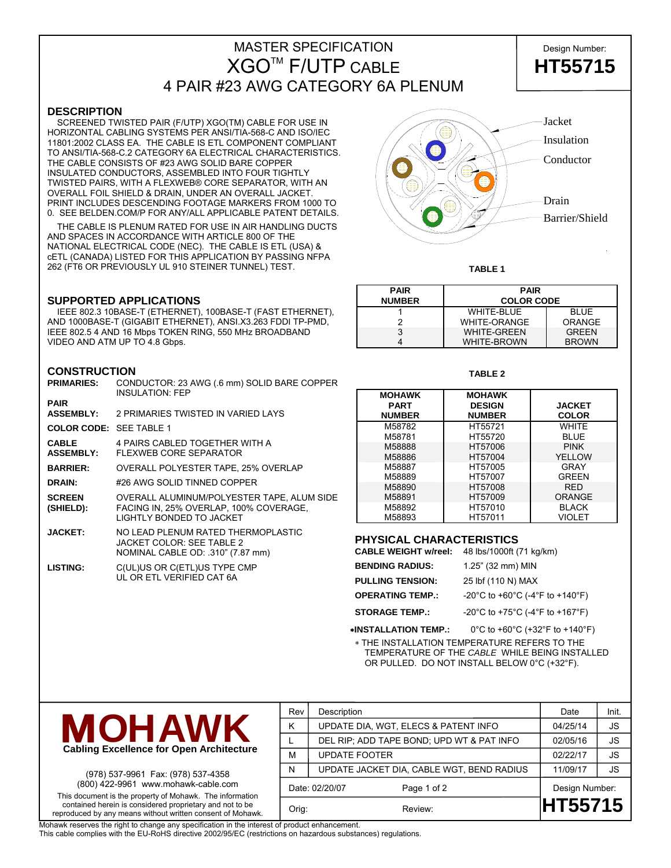# MASTER SPECIFICATION **Design Number:** XGOTM F/UTP CABLE **HT55715** 4 PAIR #23 AWG CATEGORY 6A PLENUM



### **DESCRIPTION**

 SCREENED TWISTED PAIR (F/UTP) XGO(TM) CABLE FOR USE IN HORIZONTAL CABLING SYSTEMS PER ANSI/TIA-568-C AND ISO/IEC 11801:2002 CLASS EA. THE CABLE IS ETL COMPONENT COMPLIANT TO ANSI/TIA-568-C.2 CATEGORY 6A ELECTRICAL CHARACTERISTICS. THE CABLE CONSISTS OF #23 AWG SOLID BARE COPPER INSULATED CONDUCTORS, ASSEMBLED INTO FOUR TIGHTLY TWISTED PAIRS, WITH A FLEXWEB® CORE SEPARATOR, WITH AN OVERALL FOIL SHIELD & DRAIN, UNDER AN OVERALL JACKET. PRINT INCLUDES DESCENDING FOOTAGE MARKERS FROM 1000 TO 0. SEE BELDEN.COM/P FOR ANY/ALL APPLICABLE PATENT DETAILS.

 THE CABLE IS PLENUM RATED FOR USE IN AIR HANDLING DUCTS AND SPACES IN ACCORDANCE WITH ARTICLE 800 OF THE NATIONAL ELECTRICAL CODE (NEC). THE CABLE IS ETL (USA) & cETL (CANADA) LISTED FOR THIS APPLICATION BY PASSING NFPA 262 (FT6 OR PREVIOUSLY UL 910 STEINER TUNNEL) TEST.

### **SUPPORTED APPLICATIONS**

 IEEE 802.3 10BASE-T (ETHERNET), 100BASE-T (FAST ETHERNET), AND 1000BASE-T (GIGABIT ETHERNET), ANSI.X3.263 FDDI TP-PMD, IEEE 802.5 4 AND 16 Mbps TOKEN RING, 550 MHz BROADBAND VIDEO AND ATM UP TO 4.8 Gbps.

### **CONSTRUCTION**

| <b>PRIMARIES:</b>                | CONDUCTOR: 23 AWG (.6 mm) SOLID BARE COPPER<br><b>INSULATION: FEP</b>                                              |
|----------------------------------|--------------------------------------------------------------------------------------------------------------------|
| <b>PAIR</b>                      |                                                                                                                    |
| <b>ASSEMBLY:</b>                 | 2 PRIMARIES TWISTED IN VARIED LAYS                                                                                 |
| <b>COLOR CODE: SEE TABLE 1</b>   |                                                                                                                    |
| <b>CABLE</b><br><b>ASSEMBLY:</b> | 4 PAIRS CABLED TOGETHER WITH A<br><b>FLEXWEB CORE SEPARATOR</b>                                                    |
| <b>BARRIER:</b>                  | OVERALL POLYESTER TAPE, 25% OVERLAP                                                                                |
| <b>DRAIN:</b>                    | #26 AWG SOLID TINNED COPPER                                                                                        |
| <b>SCREEN</b><br>(SHIELD):       | OVERALL ALUMINUM/POLYESTER TAPE, ALUM SIDE<br>FACING IN, 25% OVERLAP, 100% COVERAGE,<br>I IGHTI Y BONDED TO JACKET |
| <b>JACKET:</b>                   | NO LEAD PLENUM RATED THERMOPLASTIC<br>JACKET COLOR: SEE TABLE 2<br>NOMINAL CABLE OD: .310" (7.87 mm)               |
| <b>LISTING:</b>                  | C(UL)US OR C(ETL)US TYPE CMP<br>III OR ETI VERIFIED CAT 6A                                                         |



**TABLE 1** 

| <b>PAIR</b><br><b>NUMBER</b> | <b>PAIR</b><br><b>COLOR CODE</b> |               |  |  |  |
|------------------------------|----------------------------------|---------------|--|--|--|
|                              | <b>WHITE-BLUE</b>                | <b>BLUE</b>   |  |  |  |
|                              | <b>WHITE-ORANGE</b>              | <b>ORANGE</b> |  |  |  |
| 3                            | <b>WHITE-GREEN</b>               | <b>GRFFN</b>  |  |  |  |
|                              | <b>WHITE-BROWN</b>               | <b>BROWN</b>  |  |  |  |

#### **TABLE 2**

| <b>MOHAWK</b> | <b>MOHAWK</b> |               |
|---------------|---------------|---------------|
| <b>PART</b>   | <b>DESIGN</b> | <b>JACKET</b> |
| <b>NUMBER</b> | <b>NUMBER</b> | <b>COLOR</b>  |
| M58782        | HT55721       | WHITF         |
| M58781        | HT55720       | <b>BLUE</b>   |
| M58888        | HT57006       | <b>PINK</b>   |
| M58886        | HT57004       | YELLOW        |
| M58887        | HT57005       | <b>GRAY</b>   |
| M58889        | HT57007       | GRFFN         |
| M58890        | HT57008       | <b>RFD</b>    |
| M58891        | HT57009       | <b>ORANGE</b> |
| M58892        | HT57010       | <b>BLACK</b>  |
| M58893        | HT57011       | VIOLET        |

### **PHYSICAL CHARACTERISTICS**

**CABLE WEIGHT w/reel:** 48 lbs/1000ft (71 kg/km)

| <b>BENDING RADIUS:</b>  | 1.25" (32 mm) MIN               |
|-------------------------|---------------------------------|
| <b>PULLING TENSION:</b> | 25 lbf (110 N) MAX              |
| <b>OPERATING TEMP.:</b> | -20°C to +60°C (-4°F to +140°F) |
| <b>STORAGE TEMP.:</b>   | -20°C to +75°C (-4°F to +167°F) |
|                         |                                 |

∗**INSTALLATION TEMP.:** 0°C to +60°C (+32°F to +140°F)

∗ THE INSTALLATION TEMPERATURE REFERS TO THE TEMPERATURE OF THE *CABLE* WHILE BEING INSTALLED OR PULLED. DO NOT INSTALL BELOW 0°C (+32°F).



(978) 537-9961 Fax: (978) 537-4358 (800) 422-9961 www.mohawk-cable.com This document is the property of Mohawk. The information contained herein is considered proprietary and not to be reproduced by any means without written consent of Mohawk.

| Rev   | Description                               | Date           | Init.     |
|-------|-------------------------------------------|----------------|-----------|
| Κ     | UPDATE DIA, WGT, ELECS & PATENT INFO      | 04/25/14       | <b>JS</b> |
|       | DEL RIP; ADD TAPE BOND; UPD WT & PAT INFO | 02/05/16       | <b>JS</b> |
| М     | <b>UPDATE FOOTER</b>                      | 02/22/17       | <b>JS</b> |
| N     | UPDATE JACKET DIA, CABLE WGT, BEND RADIUS | 11/09/17       | <b>JS</b> |
|       | Date: 02/20/07<br>Page 1 of 2             | Design Number: |           |
| Orig: | Review:                                   | <b>HT55715</b> |           |

Mohawk reserves the right to change any specification in the interest of product enhancement.

This cable complies with the EU-RoHS directive 2002/95/EC (restrictions on hazardous substances) regulations.